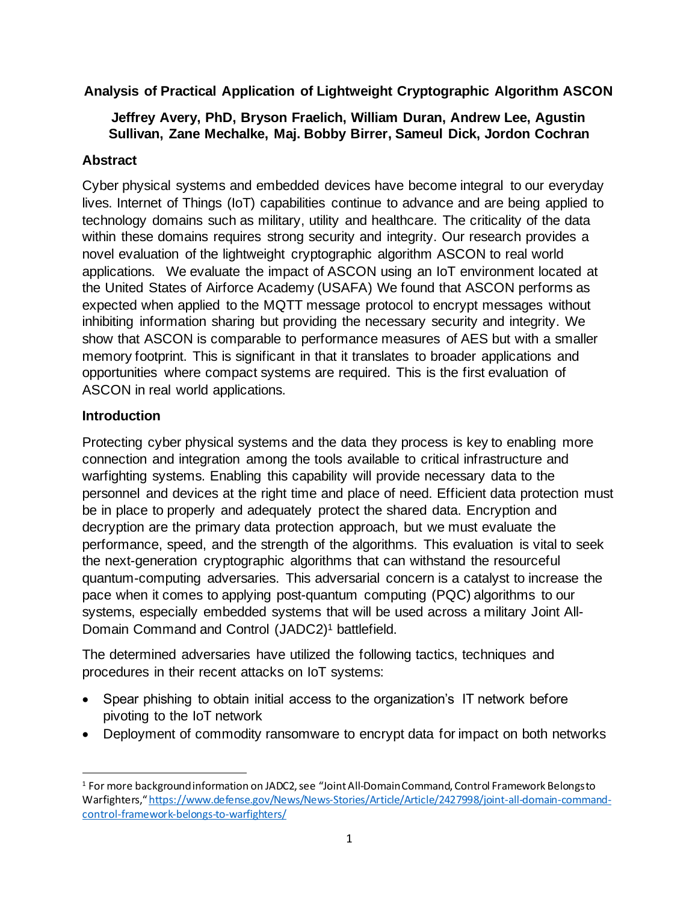**Analysis of Practical Application of Lightweight Cryptographic Algorithm ASCON**

# **Jeffrey Avery, PhD, Bryson Fraelich, William Duran, Andrew Lee, Agustin Sullivan, Zane Mechalke, Maj. Bobby Birrer, Sameul Dick, Jordon Cochran**

# **Abstract**

Cyber physical systems and embedded devices have become integral to our everyday lives. Internet of Things (IoT) capabilities continue to advance and are being applied to technology domains such as military, utility and healthcare. The criticality of the data within these domains requires strong security and integrity. Our research provides a novel evaluation of the lightweight cryptographic algorithm ASCON to real world applications. We evaluate the impact of ASCON using an IoT environment located at the United States of Airforce Academy (USAFA) We found that ASCON performs as expected when applied to the MQTT message protocol to encrypt messages without inhibiting information sharing but providing the necessary security and integrity. We show that ASCON is comparable to performance measures of AES but with a smaller memory footprint. This is significant in that it translates to broader applications and opportunities where compact systems are required. This is the first evaluation of ASCON in real world applications.

## **Introduction**

Protecting cyber physical systems and the data they process is key to enabling more connection and integration among the tools available to critical infrastructure and warfighting systems. Enabling this capability will provide necessary data to the personnel and devices at the right time and place of need. Efficient data protection must be in place to properly and adequately protect the shared data. Encryption and decryption are the primary data protection approach, but we must evaluate the performance, speed, and the strength of the algorithms. This evaluation is vital to seek the next-generation cryptographic algorithms that can withstand the resourceful quantum-computing adversaries. This adversarial concern is a catalyst to increase the pace when it comes to applying post-quantum computing (PQC) algorithms to our systems, especially embedded systems that will be used across a military Joint All-Domain Command and Control (JADC2) <sup>1</sup> battlefield.

The determined adversaries have utilized the following tactics, techniques and procedures in their recent attacks on IoT systems:

- Spear phishing to obtain initial access to the organization's IT network before pivoting to the IoT network
- Deployment of commodity ransomware to encrypt data for impact on both networks

<sup>1</sup> For more background information on JADC2, see "Joint All-Domain Command, Control Framework Belongs to Warfighters," https://www.defense.gov/News/News-Stories/Article/Article/2427998/joint-all-domain-commandcontrol-framework-belongs-to-warfighters/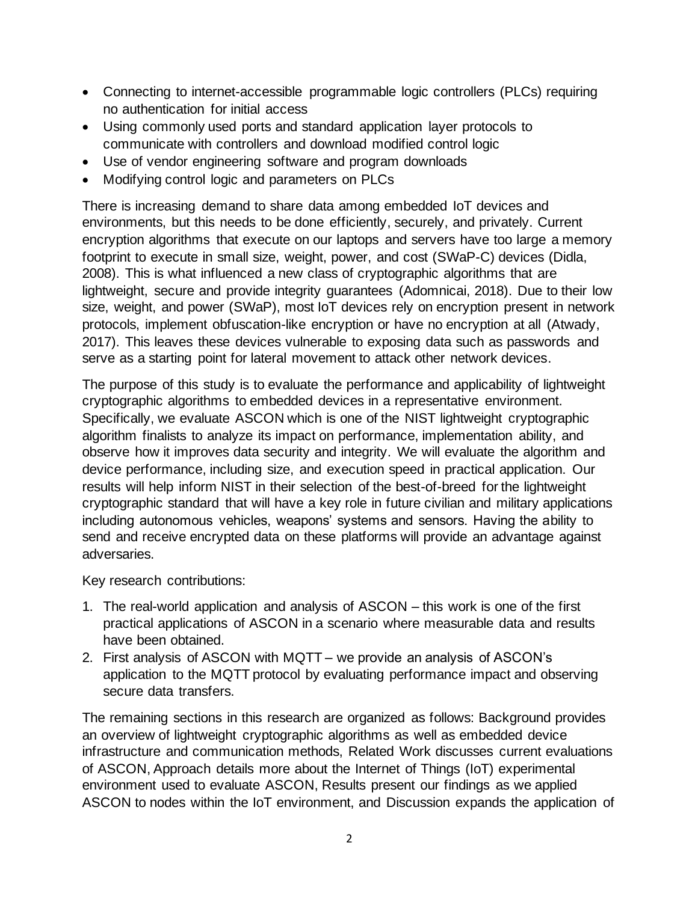- Connecting to internet-accessible programmable logic controllers (PLCs) requiring no authentication for initial access
- Using commonly used ports and standard application layer protocols to communicate with controllers and download modified control logic
- Use of vendor engineering software and program downloads
- Modifying control logic and parameters on PLCs

There is increasing demand to share data among embedded IoT devices and environments, but this needs to be done efficiently, securely, and privately. Current encryption algorithms that execute on our laptops and servers have too large a memory footprint to execute in small size, weight, power, and cost (SWaP-C) devices (Didla, 2008). This is what influenced a new class of cryptographic algorithms that are lightweight, secure and provide integrity guarantees (Adomnicai, 2018). Due to their low size, weight, and power (SWaP), most IoT devices rely on encryption present in network protocols, implement obfuscation-like encryption or have no encryption at all (Atwady, 2017). This leaves these devices vulnerable to exposing data such as passwords and serve as a starting point for lateral movement to attack other network devices.

The purpose of this study is to evaluate the performance and applicability of lightweight cryptographic algorithms to embedded devices in a representative environment. Specifically, we evaluate ASCON which is one of the NIST lightweight cryptographic algorithm finalists to analyze its impact on performance, implementation ability, and observe how it improves data security and integrity. We will evaluate the algorithm and device performance, including size, and execution speed in practical application. Our results will help inform NIST in their selection of the best-of-breed for the lightweight cryptographic standard that will have a key role in future civilian and military applications including autonomous vehicles, weapons' systems and sensors. Having the ability to send and receive encrypted data on these platforms will provide an advantage against adversaries.

Key research contributions:

- 1. The real-world application and analysis of ASCON this work is one of the first practical applications of ASCON in a scenario where measurable data and results have been obtained.
- 2. First analysis of ASCON with MQTT we provide an analysis of ASCON's application to the MQTT protocol by evaluating performance impact and observing secure data transfers.

The remaining sections in this research are organized as follows: Background provides an overview of lightweight cryptographic algorithms as well as embedded device infrastructure and communication methods, Related Work discusses current evaluations of ASCON, Approach details more about the Internet of Things (IoT) experimental environment used to evaluate ASCON, Results present our findings as we applied ASCON to nodes within the IoT environment, and Discussion expands the application of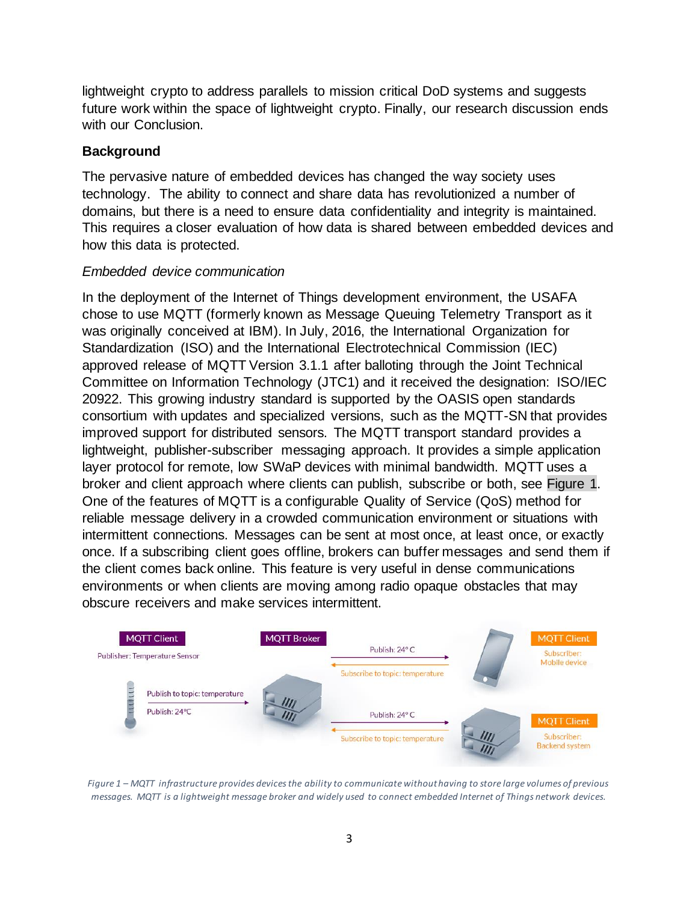lightweight crypto to address parallels to mission critical DoD systems and suggests future work within the space of lightweight crypto. Finally, our research discussion ends with our Conclusion.

### **Background**

The pervasive nature of embedded devices has changed the way society uses technology. The ability to connect and share data has revolutionized a number of domains, but there is a need to ensure data confidentiality and integrity is maintained. This requires a closer evaluation of how data is shared between embedded devices and how this data is protected.

### *Embedded device communication*

In the deployment of the Internet of Things development environment, the USAFA chose to use MQTT (formerly known as Message Queuing Telemetry Transport as it was originally conceived at IBM). In July, 2016, the International Organization for Standardization (ISO) and the International Electrotechnical Commission (IEC) approved release of MQTT Version 3.1.1 after balloting through the Joint Technical Committee on Information Technology (JTC1) and it received the designation: ISO/IEC 20922. This growing industry standard is supported by the OASIS open standards consortium with updates and specialized versions, such as the MQTT-SN that provides improved support for distributed sensors. The MQTT transport standard provides a lightweight, publisher-subscriber messaging approach. It provides a simple application layer protocol for remote, low SWaP devices with minimal bandwidth. MQTT uses a broker and client approach where clients can publish, subscribe or both, see Figure 1. One of the features of MQTT is a configurable Quality of Service (QoS) method for reliable message delivery in a crowded communication environment or situations with intermittent connections. Messages can be sent at most once, at least once, or exactly once. If a subscribing client goes offline, brokers can buffer messages and send them if the client comes back online. This feature is very useful in dense communications environments or when clients are moving among radio opaque obstacles that may obscure receivers and make services intermittent.



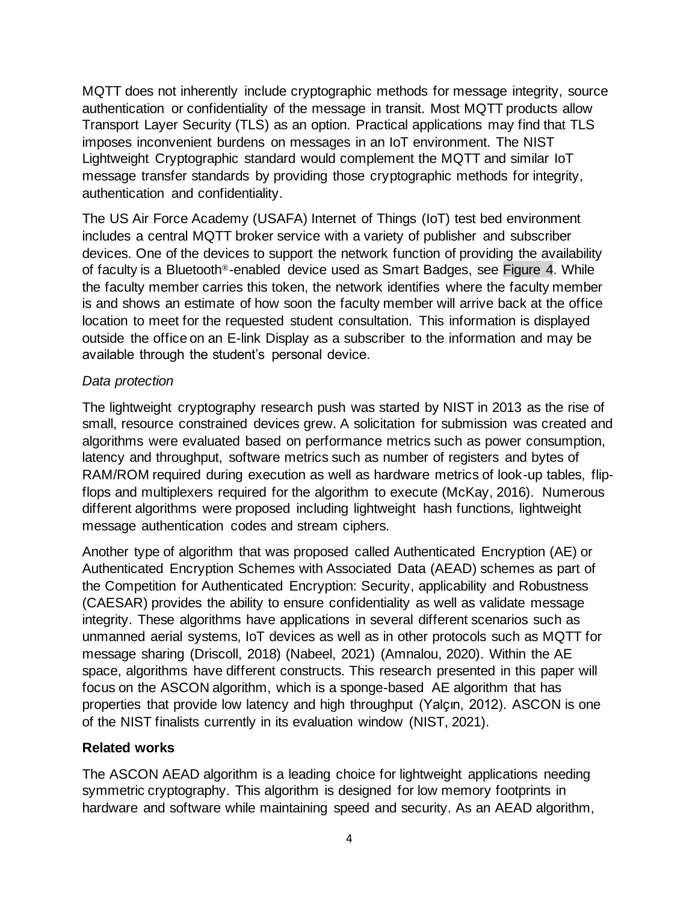MQTT does not inherently include cryptographic methods for message integrity, source authentication or confidentiality of the message in transit. Most MQTT products allow Transport Layer Security (TLS) as an option. Practical applications may find that TLS imposes inconvenient burdens on messages in an IoT environment. The NIST Lightweight Cryptographic standard would complement the MQTT and similar IoT message transfer standards by providing those cryptographic methods for integrity, authentication and confidentiality.

The US Air Force Academy (USAFA) Internet of Things (IoT) test bed environment includes a central MQTT broker service with a variety of publisher and subscriber devices. One of the devices to support the network function of providing the availability of faculty is a Bluetooth®-enabled device used as Smart Badges, see Figure 4. While the faculty member carries this token, the network identifies where the faculty member is and shows an estimate of how soon the faculty member will arrive back at the office location to meet for the requested student consultation. This information is displayed outside the office on an E-link Display as a subscriber to the information and may be available through the student's personal device.

#### *Data protection*

The lightweight cryptography research push was started by NIST in 2013 as the rise of small, resource constrained devices grew. A solicitation for submission was created and algorithms were evaluated based on performance metrics such as power consumption, latency and throughput, software metrics such as number of registers and bytes of RAM/ROM required during execution as well as hardware metrics of look-up tables, flipflops and multiplexers required for the algorithm to execute (McKay, 2016). Numerous different algorithms were proposed including lightweight hash functions, lightweight message authentication codes and stream ciphers.

Another type of algorithm that was proposed called Authenticated Encryption (AE) or Authenticated Encryption Schemes with Associated Data (AEAD) schemes as part of the Competition for Authenticated Encryption: Security, applicability and Robustness (CAESAR) provides the ability to ensure confidentiality as well as validate message integrity. These algorithms have applications in several different scenarios such as unmanned aerial systems, IoT devices as well as in other protocols such as MQTT for message sharing (Driscoll, 2018) (Nabeel, 2021) (Amnalou, 2020). Within the AE space, algorithms have different constructs. This research presented in this paper will focus on the ASCON algorithm, which is a sponge-based AE algorithm that has properties that provide low latency and high throughput (Yalçın, 2012). ASCON is one of the NIST finalists currently in its evaluation window (NIST, 2021).

#### **Related works**

The ASCON AEAD algorithm is a leading choice for lightweight applications needing symmetric cryptography. This algorithm is designed for low memory footprints in hardware and software while maintaining speed and security. As an AEAD algorithm,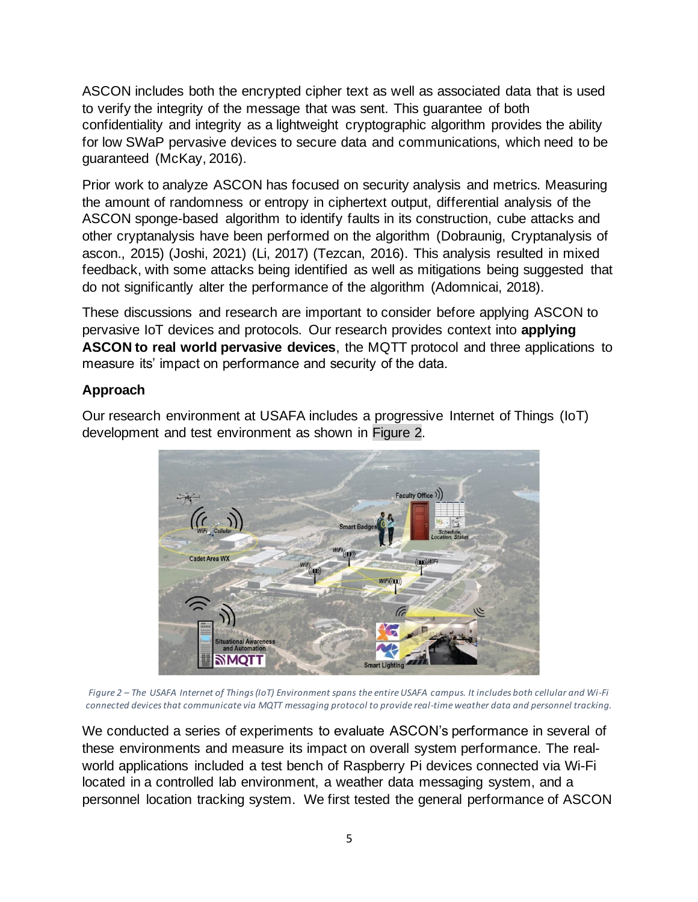ASCON includes both the encrypted cipher text as well as associated data that is used to verify the integrity of the message that was sent. This guarantee of both confidentiality and integrity as a lightweight cryptographic algorithm provides the ability for low SWaP pervasive devices to secure data and communications, which need to be guaranteed (McKay, 2016).

Prior work to analyze ASCON has focused on security analysis and metrics. Measuring the amount of randomness or entropy in ciphertext output, differential analysis of the ASCON sponge-based algorithm to identify faults in its construction, cube attacks and other cryptanalysis have been performed on the algorithm (Dobraunig, Cryptanalysis of ascon., 2015) (Joshi, 2021) (Li, 2017) (Tezcan, 2016). This analysis resulted in mixed feedback, with some attacks being identified as well as mitigations being suggested that do not significantly alter the performance of the algorithm (Adomnicai, 2018).

These discussions and research are important to consider before applying ASCON to pervasive IoT devices and protocols. Our research provides context into **applying ASCON to real world pervasive devices**, the MQTT protocol and three applications to measure its' impact on performance and security of the data.

## **Approach**

Our research environment at USAFA includes a progressive Internet of Things (IoT) development and test environment as shown in [Figure 2.](#page-4-0)



*Figure 2 – The USAFA Internet of Things (IoT) Environment spans the entire USAFA campus. It includes both cellular and Wi-Fi connected devices that communicate via MQTT messaging protocol to provide real-time weather data and personnel tracking.*

<span id="page-4-0"></span>We conducted a series of experiments to evaluate ASCON's performance in several of these environments and measure its impact on overall system performance. The realworld applications included a test bench of Raspberry Pi devices connected via Wi-Fi located in a controlled lab environment, a weather data messaging system, and a personnel location tracking system. We first tested the general performance of ASCON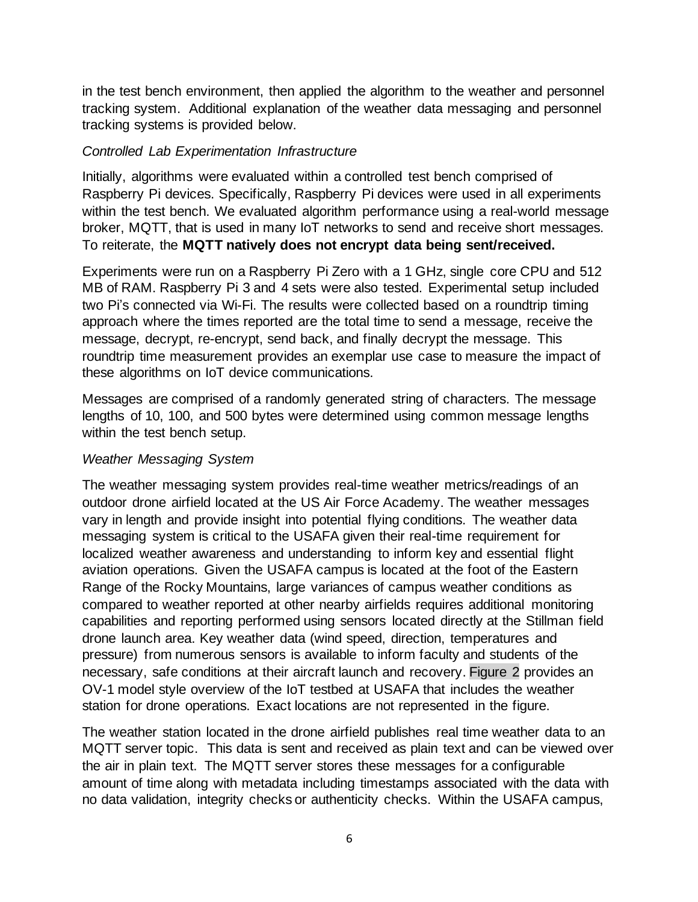in the test bench environment, then applied the algorithm to the weather and personnel tracking system. Additional explanation of the weather data messaging and personnel tracking systems is provided below.

#### *Controlled Lab Experimentation Infrastructure*

Initially, algorithms were evaluated within a controlled test bench comprised of Raspberry Pi devices. Specifically, Raspberry Pi devices were used in all experiments within the test bench. We evaluated algorithm performance using a real-world message broker, MQTT, that is used in many IoT networks to send and receive short messages. To reiterate, the **MQTT natively does not encrypt data being sent/received.** 

Experiments were run on a Raspberry Pi Zero with a 1 GHz, single core CPU and 512 MB of RAM. Raspberry Pi 3 and 4 sets were also tested. Experimental setup included two Pi's connected via Wi-Fi. The results were collected based on a roundtrip timing approach where the times reported are the total time to send a message, receive the message, decrypt, re-encrypt, send back, and finally decrypt the message. This roundtrip time measurement provides an exemplar use case to measure the impact of these algorithms on IoT device communications.

Messages are comprised of a randomly generated string of characters. The message lengths of 10, 100, and 500 bytes were determined using common message lengths within the test bench setup.

### *Weather Messaging System*

The weather messaging system provides real-time weather metrics/readings of an outdoor drone airfield located at the US Air Force Academy. The weather messages vary in length and provide insight into potential flying conditions. The weather data messaging system is critical to the USAFA given their real-time requirement for localized weather awareness and understanding to inform key and essential flight aviation operations. Given the USAFA campus is located at the foot of the Eastern Range of the Rocky Mountains, large variances of campus weather conditions as compared to weather reported at other nearby airfields requires additional monitoring capabilities and reporting performed using sensors located directly at the Stillman field drone launch area. Key weather data (wind speed, direction, temperatures and pressure) from numerous sensors is available to inform faculty and students of the necessary, safe conditions at their aircraft launch and recovery. [Figure 2](#page-4-0) provides an OV-1 model style overview of the IoT testbed at USAFA that includes the weather station for drone operations. Exact locations are not represented in the figure.

The weather station located in the drone airfield publishes real time weather data to an MQTT server topic. This data is sent and received as plain text and can be viewed over the air in plain text. The MQTT server stores these messages for a configurable amount of time along with metadata including timestamps associated with the data with no data validation, integrity checks or authenticity checks. Within the USAFA campus,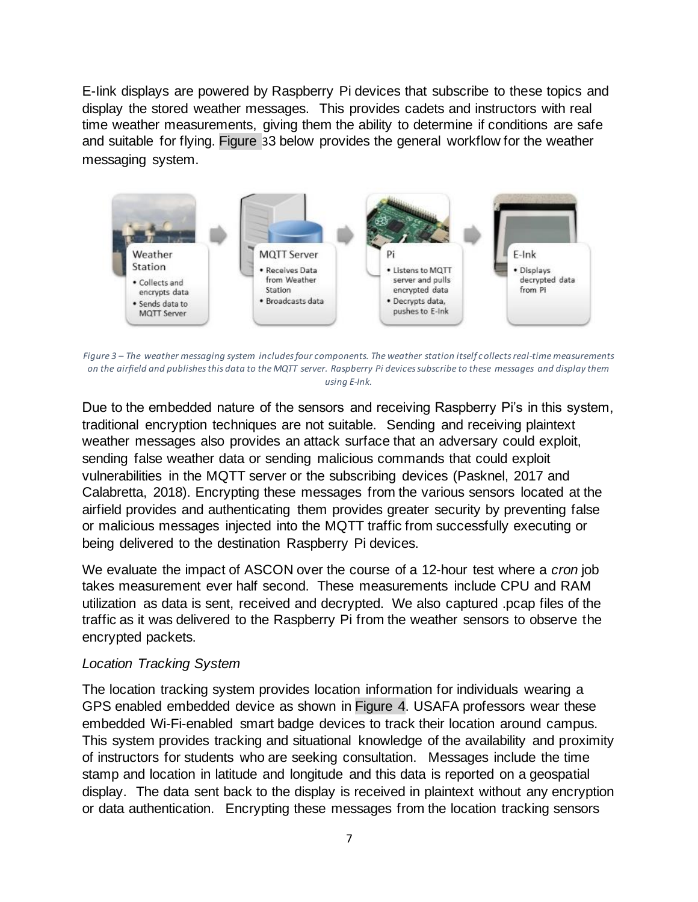E-Iink displays are powered by Raspberry Pi devices that subscribe to these topics and display the stored weather messages. This provides cadets and instructors with real time weather measurements, giving them the ability to determine if conditions are safe and suitable for flying. [Figure](#page-6-0) [3](#page-6-0)3 below provides the general workflow for the weather messaging system.



<span id="page-6-0"></span>*Figure 3 – The weather messaging system includes four components. The weather station itself collects real-time measurements on the airfield and publishes this data to the MQTT server. Raspberry Pi devices subscribe to these messages and display them using E-Ink.*

Due to the embedded nature of the sensors and receiving Raspberry Pi's in this system, traditional encryption techniques are not suitable. Sending and receiving plaintext weather messages also provides an attack surface that an adversary could exploit, sending false weather data or sending malicious commands that could exploit vulnerabilities in the MQTT server or the subscribing devices (Pasknel, 2017 and Calabretta, 2018). Encrypting these messages from the various sensors located at the airfield provides and authenticating them provides greater security by preventing false or malicious messages injected into the MQTT traffic from successfully executing or being delivered to the destination Raspberry Pi devices.

We evaluate the impact of ASCON over the course of a 12-hour test where a *cron* job takes measurement ever half second. These measurements include CPU and RAM utilization as data is sent, received and decrypted. We also captured .pcap files of the traffic as it was delivered to the Raspberry Pi from the weather sensors to observe the encrypted packets.

#### *Location Tracking System*

The location tracking system provides location information for individuals wearing a GPS enabled embedded device as shown in [Figure 4.](#page-7-0) USAFA professors wear these embedded Wi-Fi-enabled smart badge devices to track their location around campus. This system provides tracking and situational knowledge of the availability and proximity of instructors for students who are seeking consultation. Messages include the time stamp and location in latitude and longitude and this data is reported on a geospatial display. The data sent back to the display is received in plaintext without any encryption or data authentication. Encrypting these messages from the location tracking sensors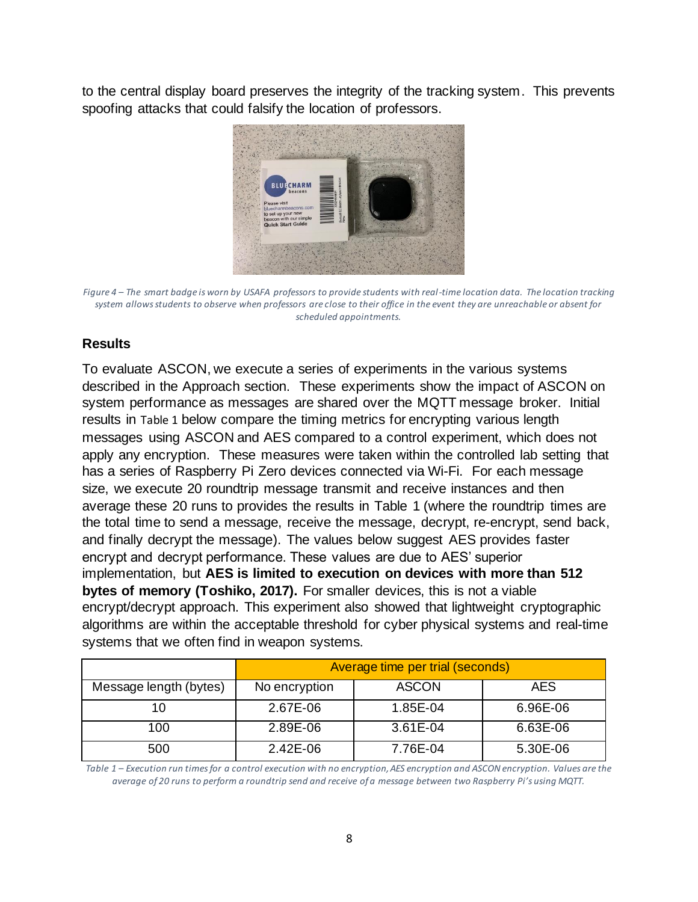to the central display board preserves the integrity of the tracking system. This prevents spoofing attacks that could falsify the location of professors.



*Figure 4 – The smart badge is worn by USAFA professors to provide students with real-time location data. The location tracking system allows students to observe when professors are close to their office in the event they are unreachable or absent for scheduled appointments.*

### <span id="page-7-0"></span>**Results**

To evaluate ASCON, we execute a series of experiments in the various systems described in the Approach section. These experiments show the impact of ASCON on system performance as messages are shared over the MQTT message broker. Initial results in [Table 1](#page-7-1) below compare the timing metrics for encrypting various length messages using ASCON and AES compared to a control experiment, which does not apply any encryption. These measures were taken within the controlled lab setting that has a series of Raspberry Pi Zero devices connected via Wi-Fi. For each message size, we execute 20 roundtrip message transmit and receive instances and then average these 20 runs to provides the results in [Table 1](#page-7-1) (where the roundtrip times are the total time to send a message, receive the message, decrypt, re-encrypt, send back, and finally decrypt the message). The values below suggest AES provides faster encrypt and decrypt performance. These values are due to AES' superior implementation, but **AES is limited to execution on devices with more than 512 bytes of memory (Toshiko, 2017).** For smaller devices, this is not a viable encrypt/decrypt approach. This experiment also showed that lightweight cryptographic algorithms are within the acceptable threshold for cyber physical systems and real-time systems that we often find in weapon systems.

|                        | Average time per trial (seconds) |              |            |
|------------------------|----------------------------------|--------------|------------|
| Message length (bytes) | No encryption                    | <b>ASCON</b> | <b>AES</b> |
| 10                     | 2.67E-06                         | 1.85E-04     | 6.96E-06   |
| 100                    | 2.89E-06                         | 3.61E-04     | 6.63E-06   |
| 500                    | $2.42E-06$                       | 7.76E-04     | 5.30E-06   |

<span id="page-7-1"></span>*Table 1 – Execution run times for a control execution with no encryption, AES encryption and ASCON encryption. Values are the average of 20 runs to perform a roundtrip send and receive of a message between two Raspberry Pi's using MQTT.*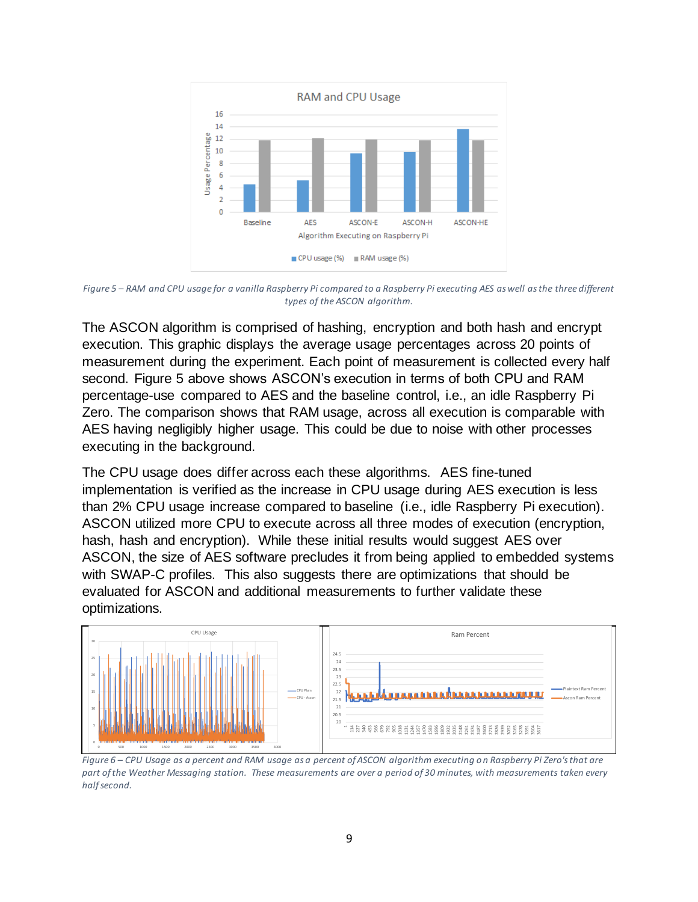

*Figure 5 – RAM and CPU usage for a vanilla Raspberry Pi compared to a Raspberry Pi executing AES as well as the three different types of the ASCON algorithm.*

The ASCON algorithm is comprised of hashing, encryption and both hash and encrypt execution. This graphic displays the average usage percentages across 20 points of measurement during the experiment. Each point of measurement is collected every half second. Figure 5 above shows ASCON's execution in terms of both CPU and RAM percentage-use compared to AES and the baseline control, i.e., an idle Raspberry Pi Zero. The comparison shows that RAM usage, across all execution is comparable with AES having negligibly higher usage. This could be due to noise with other processes executing in the background.

The CPU usage does differ across each these algorithms. AES fine-tuned implementation is verified as the increase in CPU usage during AES execution is less than 2% CPU usage increase compared to baseline (i.e., idle Raspberry Pi execution). ASCON utilized more CPU to execute across all three modes of execution (encryption, hash, hash and encryption). While these initial results would suggest AES over ASCON, the size of AES software precludes it from being applied to embedded systems with SWAP-C profiles. This also suggests there are optimizations that should be evaluated for ASCON and additional measurements to further validate these optimizations.



<span id="page-8-0"></span>*Figure 6 – CPU Usage as a percent and RAM usage as a percent of ASCON algorithm executing on Raspberry Pi Zero's that are part of the Weather Messaging station. These measurements are over a period of 30 minutes, with measurements taken every half second.*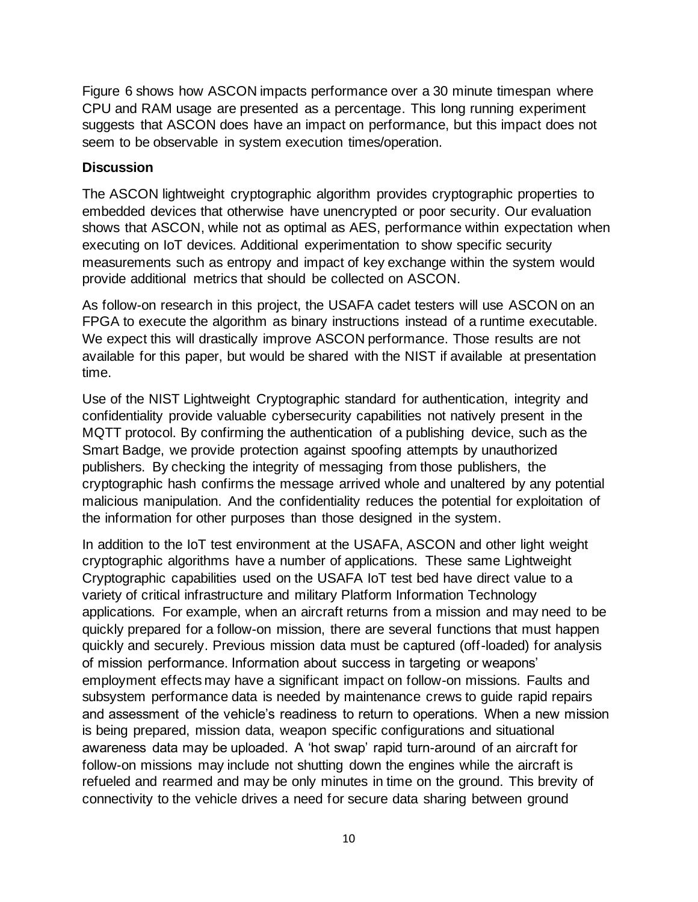[Figure 6](#page-8-0) shows how ASCON impacts performance over a 30 minute timespan where CPU and RAM usage are presented as a percentage. This long running experiment suggests that ASCON does have an impact on performance, but this impact does not seem to be observable in system execution times/operation.

#### **Discussion**

The ASCON lightweight cryptographic algorithm provides cryptographic properties to embedded devices that otherwise have unencrypted or poor security. Our evaluation shows that ASCON, while not as optimal as AES, performance within expectation when executing on IoT devices. Additional experimentation to show specific security measurements such as entropy and impact of key exchange within the system would provide additional metrics that should be collected on ASCON.

As follow-on research in this project, the USAFA cadet testers will use ASCON on an FPGA to execute the algorithm as binary instructions instead of a runtime executable. We expect this will drastically improve ASCON performance. Those results are not available for this paper, but would be shared with the NIST if available at presentation time.

Use of the NIST Lightweight Cryptographic standard for authentication, integrity and confidentiality provide valuable cybersecurity capabilities not natively present in the MQTT protocol. By confirming the authentication of a publishing device, such as the Smart Badge, we provide protection against spoofing attempts by unauthorized publishers. By checking the integrity of messaging from those publishers, the cryptographic hash confirms the message arrived whole and unaltered by any potential malicious manipulation. And the confidentiality reduces the potential for exploitation of the information for other purposes than those designed in the system.

In addition to the IoT test environment at the USAFA, ASCON and other light weight cryptographic algorithms have a number of applications. These same Lightweight Cryptographic capabilities used on the USAFA IoT test bed have direct value to a variety of critical infrastructure and military Platform Information Technology applications. For example, when an aircraft returns from a mission and may need to be quickly prepared for a follow-on mission, there are several functions that must happen quickly and securely. Previous mission data must be captured (off-loaded) for analysis of mission performance. Information about success in targeting or weapons' employment effects may have a significant impact on follow-on missions. Faults and subsystem performance data is needed by maintenance crews to guide rapid repairs and assessment of the vehicle's readiness to return to operations. When a new mission is being prepared, mission data, weapon specific configurations and situational awareness data may be uploaded. A 'hot swap' rapid turn-around of an aircraft for follow-on missions may include not shutting down the engines while the aircraft is refueled and rearmed and may be only minutes in time on the ground. This brevity of connectivity to the vehicle drives a need for secure data sharing between ground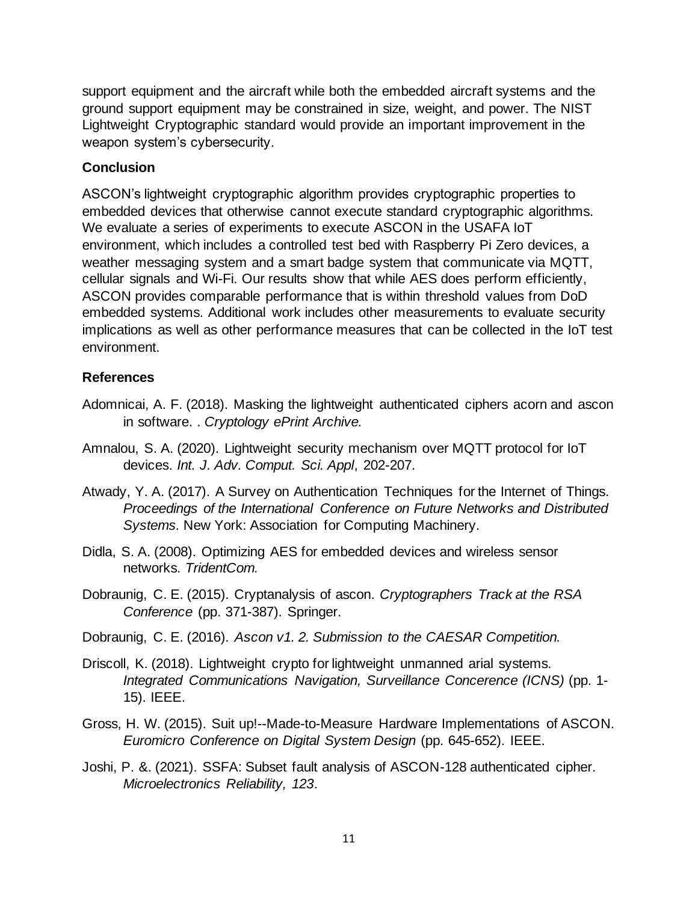support equipment and the aircraft while both the embedded aircraft systems and the ground support equipment may be constrained in size, weight, and power. The NIST Lightweight Cryptographic standard would provide an important improvement in the weapon system's cybersecurity.

#### **Conclusion**

ASCON's lightweight cryptographic algorithm provides cryptographic properties to embedded devices that otherwise cannot execute standard cryptographic algorithms. We evaluate a series of experiments to execute ASCON in the USAFA IoT environment, which includes a controlled test bed with Raspberry Pi Zero devices, a weather messaging system and a smart badge system that communicate via MQTT, cellular signals and Wi-Fi. Our results show that while AES does perform efficiently, ASCON provides comparable performance that is within threshold values from DoD embedded systems. Additional work includes other measurements to evaluate security implications as well as other performance measures that can be collected in the IoT test environment.

### **References**

- Adomnicai, A. F. (2018). Masking the lightweight authenticated ciphers acorn and ascon in software. . *Cryptology ePrint Archive.*
- Amnalou, S. A. (2020). Lightweight security mechanism over MQTT protocol for IoT devices. *Int. J. Adv. Comput. Sci. Appl*, 202-207.
- Atwady, Y. A. (2017). A Survey on Authentication Techniques for the Internet of Things. *Proceedings of the International Conference on Future Networks and Distributed Systems.* New York: Association for Computing Machinery.
- Didla, S. A. (2008). Optimizing AES for embedded devices and wireless sensor networks. *TridentCom.*
- Dobraunig, C. E. (2015). Cryptanalysis of ascon. *Cryptographers Track at the RSA Conference* (pp. 371-387). Springer.
- Dobraunig, C. E. (2016). *Ascon v1. 2. Submission to the CAESAR Competition.*
- Driscoll, K. (2018). Lightweight crypto for lightweight unmanned arial systems. *Integrated Communications Navigation, Surveillance Concerence (ICNS)* (pp. 1- 15). IEEE.
- Gross, H. W. (2015). Suit up!--Made-to-Measure Hardware Implementations of ASCON. *Euromicro Conference on Digital System Design* (pp. 645-652). IEEE.
- Joshi, P. &. (2021). SSFA: Subset fault analysis of ASCON-128 authenticated cipher. *Microelectronics Reliability, 123*.